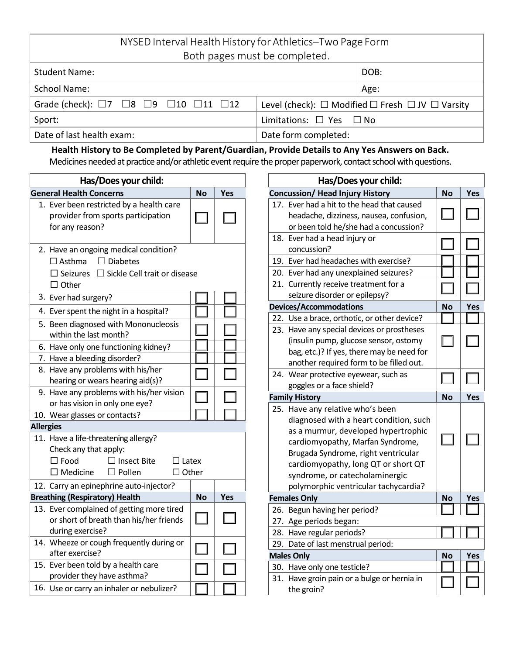| NYSED Interval Health History for Athletics-Two Page Form               |                                   |                                                                      |  |  |
|-------------------------------------------------------------------------|-----------------------------------|----------------------------------------------------------------------|--|--|
| Both pages must be completed.                                           |                                   |                                                                      |  |  |
| <b>Student Name:</b>                                                    |                                   | DOB:                                                                 |  |  |
| <b>School Name:</b>                                                     |                                   | Age:                                                                 |  |  |
| Grade (check): $\Box 7$ $\Box 8$ $\Box 9$ $\Box 10$ $\Box 11$ $\Box 12$ |                                   | Level (check): $\Box$ Modified $\Box$ Fresh $\Box$ JV $\Box$ Varsity |  |  |
| Sport:                                                                  | Limitations: $\Box$ Yes $\Box$ No |                                                                      |  |  |
| Date of last health exam:                                               | Date form completed:              |                                                                      |  |  |

## **Health History to Be Completed by Parent/Guardian, Provide Details to Any Yes Answers on Back.** Medicines needed at practice and/or athletic event require the proper paperwork, contact school with questions.

| Has/Does your child:                                                                                                                             |                              |     |  |  |  |  |
|--------------------------------------------------------------------------------------------------------------------------------------------------|------------------------------|-----|--|--|--|--|
| <b>General Health Concerns</b>                                                                                                                   | <b>No</b>                    | Yes |  |  |  |  |
| 1. Ever been restricted by a health care<br>provider from sports participation<br>for any reason?                                                |                              |     |  |  |  |  |
| 2. Have an ongoing medical condition?<br>$\Box$ Diabetes<br>$\Box$ Asthma<br>$\Box$ Seizures $\Box$ Sickle Cell trait or disease<br>$\Box$ Other |                              |     |  |  |  |  |
| 3. Ever had surgery?                                                                                                                             |                              |     |  |  |  |  |
| 4. Ever spent the night in a hospital?                                                                                                           |                              |     |  |  |  |  |
| 5. Been diagnosed with Mononucleosis<br>within the last month?                                                                                   |                              |     |  |  |  |  |
| 6. Have only one functioning kidney?                                                                                                             |                              |     |  |  |  |  |
| 7. Have a bleeding disorder?                                                                                                                     |                              |     |  |  |  |  |
| 8. Have any problems with his/her<br>hearing or wears hearing aid(s)?                                                                            |                              |     |  |  |  |  |
| 9. Have any problems with his/her vision<br>or has vision in only one eye?                                                                       |                              |     |  |  |  |  |
| 10. Wear glasses or contacts?                                                                                                                    |                              |     |  |  |  |  |
| <b>Allergies</b>                                                                                                                                 |                              |     |  |  |  |  |
| 11. Have a life-threatening allergy?<br>Check any that apply:<br>$\Box$ Food<br>$\Box$ Insect Bite<br>$\square$ Medicine<br>$\Box$ Pollen        | $\Box$ Latex<br>$\Box$ Other |     |  |  |  |  |
| 12. Carry an epinephrine auto-injector?                                                                                                          |                              |     |  |  |  |  |
| <b>Breathing (Respiratory) Health</b>                                                                                                            | <b>No</b>                    | Yes |  |  |  |  |
| 13. Ever complained of getting more tired<br>or short of breath than his/her friends<br>during exercise?                                         |                              |     |  |  |  |  |
| 14. Wheeze or cough frequently during or<br>after exercise?                                                                                      |                              |     |  |  |  |  |
| 15. Ever been told by a health care<br>provider they have asthma?                                                                                |                              |     |  |  |  |  |
| 16. Use or carry an inhaler or nebulizer?                                                                                                        |                              |     |  |  |  |  |

|                                        | Has/Does your child:                        |           |     |
|----------------------------------------|---------------------------------------------|-----------|-----|
| <b>Concussion/ Head Injury History</b> | <b>No</b>                                   | Yes       |     |
|                                        | 17. Ever had a hit to the head that caused  |           |     |
|                                        | headache, dizziness, nausea, confusion,     |           |     |
|                                        | or been told he/she had a concussion?       |           |     |
| 18.                                    | Ever had a head injury or                   |           |     |
|                                        | concussion?                                 |           |     |
| 19.                                    | Ever had headaches with exercise?           |           |     |
|                                        | 20. Ever had any unexplained seizures?      |           |     |
|                                        | 21. Currently receive treatment for a       |           |     |
|                                        | seizure disorder or epilepsy?               |           |     |
| <b>Devices/Accommodations</b>          |                                             | <b>No</b> | Yes |
|                                        | 22. Use a brace, orthotic, or other device? |           |     |
|                                        | 23. Have any special devices or prostheses  |           |     |
|                                        | (insulin pump, glucose sensor, ostomy       |           |     |
|                                        | bag, etc.)? If yes, there may be need for   |           |     |
|                                        | another required form to be filled out.     |           |     |
|                                        | 24. Wear protective eyewear, such as        |           |     |
|                                        | goggles or a face shield?                   |           |     |
|                                        | <b>Family History</b>                       | <b>No</b> | Yes |
|                                        | 25. Have any relative who's been            |           |     |
|                                        | diagnosed with a heart condition, such      |           |     |
|                                        | as a murmur, developed hypertrophic         |           |     |
|                                        | cardiomyopathy, Marfan Syndrome,            |           |     |
|                                        | Brugada Syndrome, right ventricular         |           |     |
|                                        | cardiomyopathy, long QT or short QT         |           |     |
|                                        | syndrome, or catecholaminergic              |           |     |
|                                        | polymorphic ventricular tachycardia?        |           |     |
| <b>Females Only</b>                    |                                             | <b>No</b> | Yes |
|                                        | 26. Begun having her period?                |           |     |
|                                        | 27. Age periods began:                      |           |     |
|                                        | 28. Have regular periods?                   |           |     |
| 29.                                    | Date of last menstrual period:              |           |     |
|                                        | <b>Males Only</b>                           | No        | Yes |
|                                        | 30. Have only one testicle?                 |           |     |
|                                        | 31. Have groin pain or a bulge or hernia in |           |     |
|                                        | the groin?                                  |           |     |